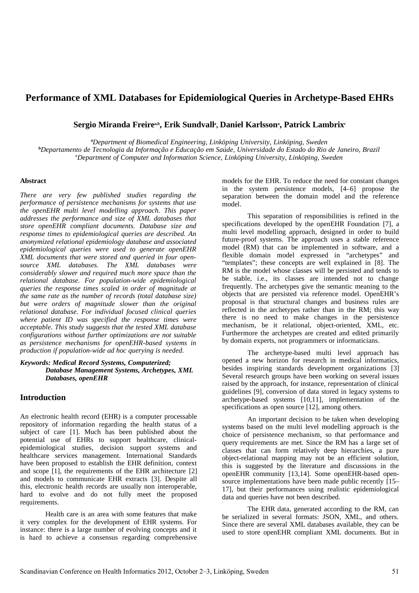# **Performance of XML Databases for Epidemiological Queries in Archetype-Based EHRs**

 $S$ ergio Miranda Freireª♭, Erik Sundvallª, Daniel Karlssonª, Patrick Lambrix<sup>c</sup>

**<sup>a</sup>***Department of Biomedical Engineering, Linköping University, Linköping, Sweden*

**<sup>b</sup>***Departamento de Tecnologia da Informação e Educação em Saúde, Universidade do Estado do Rio de Janeiro, Brazil* **<sup>c</sup>***Department of Computer and Information Science, Linköping University, Linköping, Sweden*

#### **Abstract**

*There are very few published studies regarding the performance of persistence mechanisms for systems that use the openEHR multi level modelling approach. This paper addresses the performance and size of XML databases that store openEHR compliant documents. Database size and response times to epidemiological queries are described. An anonymized relational epidemiology database and associated epidemiological queries were used to generate openEHR XML documents that were stored and queried in four opensource XML databases. The XML databases were considerably slower and required much more space than the relational database. For population-wide epidemiological queries the response times scaled in order of magnitude at the same rate as the number of records (total database size) but were orders of magnitude slower than the original relational database. For individual focused clinical queries where patient ID was specified the response times were acceptable. This study suggests that the tested XML database configurations without further optimizations are not suitable as persistence mechanisms for openEHR-based systems in production if population-wide ad hoc querying is needed.*

#### *Keywords: Medical Record Systems, Computerized; Database Management Systems, Archetypes, XML Databases, openEHR*

# **Introduction**

An electronic health record (EHR) is a computer processable repository of information regarding the health status of a subject of care [1]. Much has been published about the potential use of EHRs to support healthcare, clinicalepidemiological studies, decision support systems and healthcare services management. International Standards have been proposed to establish the EHR definition, context and scope [1], the requirements of the EHR architecture [2] and models to communicate EHR extracts [3]. Despite all this, electronic health records are usually non interoperable, hard to evolve and do not fully meet the proposed requirements.

Health care is an area with some features that make it very complex for the development of EHR systems. For instance: there is a large number of evolving concepts and it is hard to achieve a consensus regarding comprehensive models for the EHR. To reduce the need for constant changes in the system persistence models, [4–6] propose the separation between the domain model and the reference model.

This separation of responsibilities is refined in the specifications developed by the openEHR Foundation [7], a multi level modelling approach, designed in order to build future-proof systems. The approach uses a stable reference model (RM) that can be implemented in software, and a flexible domain model expressed in "archetypes" and "templates"; these concepts are well explained in [8]. The RM is the model whose classes will be persisted and tends to be stable, i.e., its classes are intended not to change frequently. The archetypes give the semantic meaning to the objects that are persisted via reference model. OpenEHR's proposal is that structural changes and business rules are reflected in the archetypes rather than in the RM; this way there is no need to make changes in the persistence mechanism, be it relational, object-oriented, XML, etc. Furthermore the archetypes are created and edited primarily by domain experts, not programmers or informaticians.

The archetype-based multi level approach has opened a new horizon for research in medical informatics, besides inspiring standards development organizations [3] Several research groups have been working on several issues raised by the approach, for instance, representation of clinical guidelines [9], conversion of data stored in legacy systems to archetype-based systems [10,11], implementation of the specifications as open source [12], among others.

An important decision to be taken when developing systems based on the multi level modelling approach is the choice of persistence mechanism, so that performance and query requirements are met. Since the RM has a large set of classes that can form relatively deep hierarchies, a pure object-relational mapping may not be an efficient solution, this is suggested by the literature and discussions in the openEHR community [13,14]. Some openEHR-based opensource implementations have been made public recently [15– 17], but their performances using realistic epidemiological data and queries have not been described.

The EHR data, generated according to the RM, can be serialized in several formats: JSON, XML, and others. Since there are several XML databases available, they can be used to store openEHR compliant XML documents. But in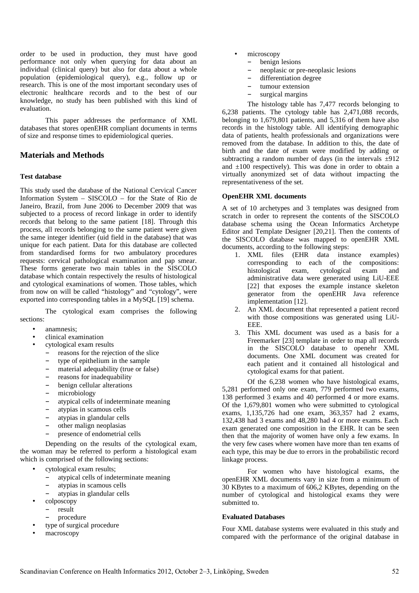order to be used in production, they must have good performance not only when querying for data about an individual (clinical query) but also for data about a whole population (epidemiological query), e.g., follow up or research. This is one of the most important secondary uses of electronic healthcare records and to the best of our knowledge, no study has been published with this kind of evaluation.

This paper addresses the performance of XML databases that stores openEHR compliant documents in terms of size and response times to epidemiological queries.

# **Materials and Methods**

# **Test database**

This study used the database of the National Cervical Cancer Information System – SISCOLO – for the State of Rio de Janeiro, Brazil, from June 2006 to December 2009 that was subjected to a process of record linkage in order to identify records that belong to the same patient [18]. Through this process, all records belonging to the same patient were given the same integer identifier (uid field in the database) that was unique for each patient. Data for this database are collected from standardised forms for two ambulatory procedures requests: cervical pathological examination and pap smear. These forms generate two main tables in the SISCOLO database which contain respectively the results of histological and cytological examinations of women. Those tables, which from now on will be called "histology" and "cytology", were exported into corresponding tables in a MySQL [19] schema.

The cytological exam comprises the following sections:

- anamnesis;
- clinical examination
- cytological exam results
	- − reasons for the rejection of the slice
	- − type of epithelium in the sample
	- − material adequability (true or false)
	- − reasons for inadequability
	- − benign cellular alterations
	- − microbiology
	- atypical cells of indeterminate meaning
	- − atypias in scamous cells
	- − atypias in glandular cells
	- − other malign neoplasias
	- − presence of endometrial cells

Depending on the results of the cytological exam, the woman may be referred to perform a histological exam which is comprised of the following sections:

- cytological exam results;
	- − atypical cells of indeterminate meaning
	- − atypias in scamous cells
	- − atypias in glandular cells
- colposcopy
- − result
	- − procedure
- type of surgical procedure
- macroscopy
- microscopy
	- − benign lesions
	- neoplasic or pre-neoplasic lesions
	- − differentiation degree
	- tumour extension
	- surgical margins

The histology table has 7,477 records belonging to 6,238 patients. The cytology table has 2,471,088 records, belonging to 1,679,801 patients, and 5,316 of them have also records in the histology table. All identifying demographic data of patients, health professionals and organizations were removed from the database. In addition to this, the date of birth and the date of exam were modified by adding or subtracting a random number of days (in the intervals  $\pm$ 912 and  $\pm 100$  respectively). This was done in order to obtain a virtually anonymized set of data without impacting the representativeness of the set.

#### **OpenEHR XML documents**

A set of 10 archetypes and 3 templates was designed from scratch in order to represent the contents of the SISCOLO database schema using the Ocean Informatics Archetype Editor and Template Designer [20,21]. Then the contents of the SISCOLO database was mapped to openEHR XML documents, according to the following steps:

- 1. XML files (EHR data instance examples) corresponding to each of the compositions: histological exam, cytological exam and administrative data were generated using LiU-EEE [22] that exposes the example instance skeleton generator from the openEHR Java reference implementation [12].
- 2. An XML document that represented a patient record with those compositions was generated using LiU-EEE.
- 3. This XML document was used as a basis for a Freemarker [23] template in order to map all records in the SISCOLO database to openehr XML documents. One XML document was created for each patient and it contained all histological and cytological exams for that patient.

Of the 6,238 women who have histological exams, 5,281 performed only one exam, 779 performed two exams, 138 performed 3 exams and 40 performed 4 or more exams. Of the 1,679,801 women who were submitted to cytological exams, 1,135,726 had one exam, 363,357 had 2 exams, 132,438 had 3 exams and 48,280 had 4 or more exams. Each exam generated one composition in the EHR. It can be seen then that the majority of women have only a few exams. In the very few cases where women have more than ten exams of each type, this may be due to errors in the probabilistic record linkage process.

For women who have histological exams, the openEHR XML documents vary in size from a minimum of 30 KBytes to a maximum of 606,2 KBytes, depending on the number of cytological and histological exams they were submitted to.

# **Evaluated Databases**

Four XML database systems were evaluated in this study and compared with the performance of the original database in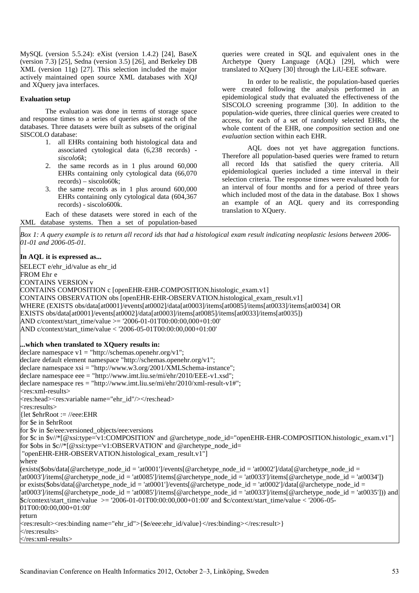MySQL (version 5.5.24): eXist (version 1.4.2) [24], BaseX (version 7.3) [25], Sedna (version 3.5) [26], and Berkeley DB XML (version 11g) [27]. This selection included the major actively maintained open source XML databases with XQJ and XQuery java interfaces.

#### **Evaluation setup**

The evaluation was done in terms of storage space and response times to a series of queries against each of the databases. Three datasets were built as subsets of the original SISCOLO database:

- 1. all EHRs containing both histological data and associated cytological data (6,238 records) *siscolo6k*;
- 2. the same records as in 1 plus around 60,000 EHRs containing only cytological data (66,070 records) – siscolo60k;
- 3. the same records as in 1 plus around 600,000 EHRs containing only cytological data (604,367 records) - siscolo600k.

Each of these datasets were stored in each of the XML database systems. Then a set of population-based

queries were created in SQL and equivalent ones in the Archetype Query Language (AQL) [29], which were translated to XQuery [30] through the LiU-EEE software.

In order to be realistic, the population-based queries were created following the analysis performed in an epidemiological study that evaluated the effectiveness of the SISCOLO screening programme [30]. In addition to the population-wide queries, three clinical queries were created to access, for each of a set of randomly selected EHRs, the whole content of the EHR, one *composition* section and one *evaluation* section within each EHR.

AQL does not yet have aggregation functions. Therefore all population-based queries were framed to return all record Ids that satisfied the query criteria. All epidemiological queries included a time interval in their selection criteria. The response times were evaluated both for an interval of four months and for a period of three years which included most of the data in the database. Box 1 shows an example of an AQL query and its corresponding translation to XQuery.

*Box 1: A query example is to return all record ids that had a histological exam result indicating neoplastic lesions between 2006- 01-01 and 2006-05-01.*

#### **In AQL it is expressed as...**

SELECT e/ehr\_id/value as ehr\_id FROM Ehr e CONTAINS VERSION v CONTAINS COMPOSITION c [openEHR-EHR-COMPOSITION.histologic\_exam.v1] CONTAINS OBSERVATION obs [openEHR-EHR-OBSERVATION.histological\_exam\_result.v1] WHERE (EXISTS obs/data[at0001]/events[at0002]/data[at0003]/items[at0085]/items[at0033]/items[at0034] OR EXISTS obs/data[at0001]/events[at0002]/data[at0003]/items[at0085]/items[at0033]/items[at0035]) AND c/context/start\_time/value >= '2006-01-01T00:00:00,000+01:00' AND c/context/start\_time/value < '2006-05-01T00:00:00,000+01:00' **...which when translated to XQuery results in:** declare namespace  $v1 = "http://schemes.openehr.org/v1";$ declare default element namespace "http://schemas.openehr.org/v1"; declare namespace xsi = "http://www.w3.org/2001/XMLSchema-instance"; declare namespace eee = "http://www.imt.liu.se/mi/ehr/2010/EEE-v1.xsd"; declare namespace res = "http://www.imt.liu.se/mi/ehr/2010/xml-result-v1#";  $<$ res:xml-results $>$ <res:head><res:variable name="ehr\_id"/></res:head> <res:results> {let \$ehrRoot := //eee:EHR for \$e in \$ehrRoot for \$v in \$e/eee:versioned\_objects/eee:versions for \$c in \$v//\*[@xsi:type='v1:COMPOSITION' and @archetype\_node\_id="openEHR-EHR-COMPOSITION.histologic\_exam.v1"] for \$obs in \$c//\* $[@xsi:type='v1:OBSERVATION'$  and @archetype\_node\_id= "openEHR-EHR-OBSERVATION.histological\_exam\_result.v1"] where  $(\text{exists}(\text{\%obs}/\text{data}[\text{\&a}$ rchetype\_node\_id = 'at0001']/events[@archetype\_node\_id = 'at0002']/data[@archetype\_node\_id =  $\frac{1}{2}$ at0003']/items[@archetype\_node\_id = 'at0085']/items[@archetype\_node\_id = 'at0033']/items[@archetype\_node\_id = 'at0034']) or exists(\$obs/data[@archetype\_node\_id = 'at0001']/events[@archetype\_node\_id = 'at0002']/data[@archetype\_node\_id =  $\frac{1}{2}$ at0003']/items[@archetype\_node\_id = 'at0085']/items[@archetype\_node\_id = 'at0033']/items[@archetype\_node\_id = 'at0035'])) and  $\text{\$c/context/start time/value} > = '2006-01-01T00:00:00,000+01:00'$  and  $\text{\$c/context/start time/value} < '2006-05-05$ 01T00:00:00,000+01:00' return  $\langle$ res:result><res:binding name="ehr\_id">{\$e/eee:ehr\_id/value}</res:binding></res:result>}  $\mathopen{<}$ /res:results $\mathclose{>}$ </res:xml-results>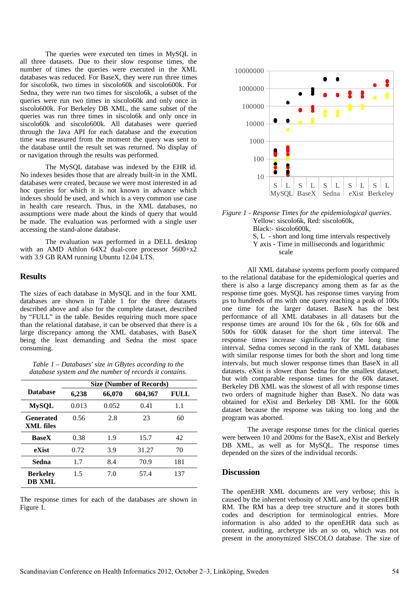The queries were executed ten times in MySQL in all three datasets. Due to their slow response times, the number of times the queries were executed in the XML databases was reduced. For BaseX, they were run three times for siscolo6k, two times in siscolo60k and siscolo600k. For Sedna, they were run two times for siscolo6k, a subset of the queries were run two times in siscolo60k and only once in siscolo600k. For Berkeley DB XML, the same subset of the queries was run three times in siscolo6k and only once in siscolo60k and siscolo600k. All databases were queried through the Java API for each database and the execution time was measured from the moment the query was sent to the database until the result set was returned. No display of or navigation through the results was performed.

The MySQL database was indexed by the EHR id. No indexes besides those that are already built-in in the XML databases were created, because we were most interested in ad hoc queries for which it is not known in advance which indexes should be used, and which is a very common use case in health care research. Thus, in the XML databases, no assumptions were made about the kinds of query that would be made. The evaluation was performed with a single user accessing the stand-alone database.

The evaluation was performed in a DELL desktop with an AMD Athlon 64X2 dual-core processor 5600+x2 with 3.9 GB RAM running Ubuntu 12.04 LTS.

# **Results**

The sizes of each database in MySQL and in the four XML databases are shown in Table 1 for the three datasets described above and also for the complete dataset, described by "FULL" in the table. Besides requiring much more space than the relational database, it can be observed that there is a large discrepancy among the XML databases, with BaseX being the least demanding and Sedna the most space consuming.

*Table 1 – Databases' size in GBytes according to the database system and the number of records it contains.*

|                                  | <b>Size (Number of Records)</b> |        |         |             |
|----------------------------------|---------------------------------|--------|---------|-------------|
| <b>Database</b>                  | 6,238                           | 66,070 | 604,367 | <b>FULL</b> |
| <b>MySQL</b>                     | 0.013                           | 0.052  | 0.41    | 1.1         |
| Generated<br><b>XML</b> files    | 0.56                            | 2.8    | 23      | 60          |
| <b>BaseX</b>                     | 0.38                            | 1.9    | 15.7    | 42          |
| eXist                            | 0.72                            | 3.9    | 31.27   | 70          |
| Sedna                            | 1.7                             | 8.4    | 70.9    | 181         |
| <b>Berkeley</b><br><b>DB XML</b> | 1.5                             | 7.0    | 57.4    | 137         |

The response times for each of the databases are shown in Figure 1.





scale

All XML database systems perform poorly compared to the relational database for the epidemiological queries and there is also a large discrepancy among them as far as the response time goes. MySQL has response times varying from µs to hundreds of ms with one query reaching a peak of 100s one time for the larger dataset. BaseX has the best performance of all XML databases in all datasets but the response times are around 10s for the 6k , 60s for 60k and 500s for 600k dataset for the short time interval. The response times increase significantly for the long time interval. Sedna comes second in the rank of XML databases with similar response times for both the short and long time intervals, but much slower response times than BaseX in all datasets. eXist is slower than Sedna for the smallest dataset, but with comparable response times for the 60k dataset. Berkeley DB XML was the slowest of all with response times two orders of magnitude higher than BaseX. No data was obtained for eXist and Berkeley DB XML for the 600k dataset because the response was taking too long and the program was aborted.

The average response times for the clinical queries were between 10 and 200ms for the BaseX, eXist and Berkely DB XML, as well as for MySQL. The response times depended on the sizes of the individual records.

#### **Discussion**

The openEHR XML documents are very verbose; this is caused by the inherent verbosity of XML and by the openEHR RM. The RM has a deep tree structure and it stores both codes and description for terminological entries. More information is also added to the openEHR data such as context, auditing, archetype ids an so on, which was not present in the anonymized SISCOLO database. The size of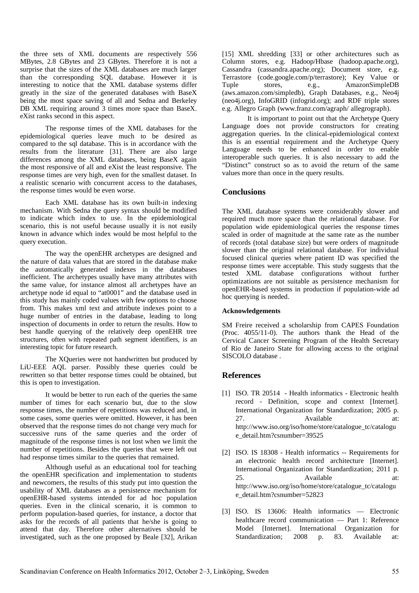the three sets of XML documents are respectively 556 MBytes, 2.8 GBytes and 23 GBytes. Therefore it is not a surprise that the sizes of the XML databases are much larger than the corresponding SQL database. However it is interesting to notice that the XML database systems differ greatly in the size of the generated databases with BaseX being the most space saving of all and Sedna and Berkeley DB XML requiring around 3 times more space than BaseX. eXist ranks second in this aspect.

The response times of the XML databases for the epidemiological queries leave much to be desired as compared to the sql database. This is in accordance with the results from the literature [31]. There are also large differences among the XML databases, being BaseX again the most responsive of all and eXist the least responsive. The response times are very high, even for the smallest dataset. In a realistic scenario with concurrent access to the databases, the response times would be even worse.

Each XML database has its own built-in indexing mechanism. With Sedna the query syntax should be modified to indicate which index to use. In the epidemiological scenario, this is not useful because usually it is not easily known in advance which index would be most helpful to the query execution.

The way the openEHR archetypes are designed and the nature of data values that are stored in the database make the automatically generated indexes in the databases inefficient. The archetypes usually have many attributes with the same value, for instance almost all archetypes have an archetype node id equal to "at0001" and the database used in this study has mainly coded values with few options to choose from. This makes xml text and attribute indexes point to a huge number of entries in the database, leading to long inspection of documents in order to return the results. How to best handle querying of the relatively deep openEHR tree structures, often with repeated path segment identifiers, is an interesting topic for future research.

The XQueries were not handwritten but produced by LiU-EEE AQL parser. Possibly these queries could be rewritten so that better response times could be obtained, but this is open to investigation.

It would be better to run each of the queries the same number of times for each scenario but, due to the slow response times, the number of repetitions was reduced and, in some cases, some queries were omitted. However, it has been observed that the response times do not change very much for successive runs of the same queries and the order of magnitude of the response times is not lost when we limit the number of repetitions. Besides the queries that were left out had response times similar to the queries that remained.

Although useful as an educational tool for teaching the openEHR specification and implementation to students and newcomers, the results of this study put into question the usability of XML databases as a persistence mechanism for openEHR-based systems intended for ad hoc population queries. Even in the clinical scenario, it is common to perform population-based queries, for instance, a doctor that asks for the records of all patients that he/she is going to attend that day. Therefore other alternatives should be investigated, such as the one proposed by Beale [32], Arikan

[15] XML shredding [33] or other architectures such as Column stores, e.g. Hadoop/Hbase (hadoop.apache.org), Cassandra (cassandra.apache.org); Document store, e.g. Terrastore (code.google.com/p/terrastore); Key Value or Tuple stores, e.g., AmazonSimpleDB (aws.amazon.com/simpledb), Graph Databases, e.g., Neo4j (neo4j.org), InfoGRID (infogrid.org); and RDF triple stores e.g. Allegro Graph (www.franz.com/agraph/ allegrograph).

It is important to point out that the Archetype Query Language does not provide constructors for creating aggregation queries. In the clinical-epidemiological context this is an essential requirement and the Archetype Query Language needs to be enhanced in order to enable interoperable such queries. It is also necessary to add the "Distinct" construct so as to avoid the return of the same values more than once in the query results.

# **Conclusions**

The XML database systems were considerably slower and required much more space than the relational database. For population wide epidemiological queries the response times scaled in order of magnitude at the same rate as the number of records (total database size) but were orders of magnitude slower than the original relational database. For individual focused clinical queries where patient ID was specified the response times were acceptable. This study suggests that the tested XML database configurations without further optimizations are not suitable as persistence mechanism for openEHR-based systems in production if population-wide ad hoc querying is needed.

# **Acknowledgements**

SM Freire received a scholarship from CAPES Foundation (Proc. 4055/11-0). The authors thank the Head of the Cervical Cancer Screening Program of the Health Secretary of Rio de Janeiro State for allowing access to the original SISCOLO database .

# **References**

- [1] ISO. TR 20514 Health informatics Electronic health record - Definition, scope and context [Internet]. International Organization for Standardization; 2005 p. 27. Available at: http://www.iso.org/iso/home/store/catalogue\_tc/catalogu e\_detail.htm?csnumber=39525
- [2] ISO. IS 18308 Health informatics -- Requirements for an electronic health record architecture [Internet]. International Organization for Standardization; 2011 p. 25. Available at: http://www.iso.org/iso/home/store/catalogue\_tc/catalogu e\_detail.htm?csnumber=52823
- [3] ISO. IS 13606: Health informatics Electronic healthcare record communication — Part 1: Reference Model [Internet]. International Organization for Standardization; 2008 p. 83. Available at: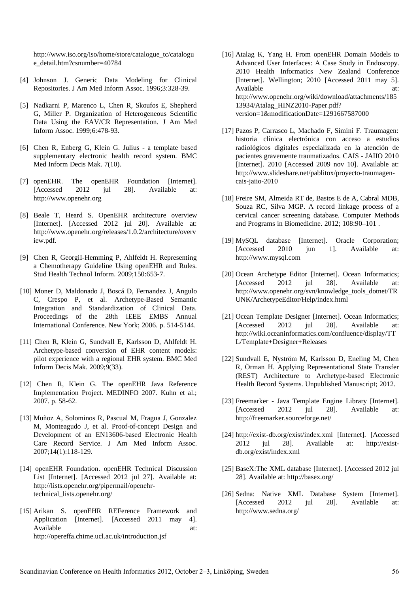http://www.iso.org/iso/home/store/catalogue\_tc/catalogu e\_detail.htm?csnumber=40784

- [4] Johnson J. Generic Data Modeling for Clinical Repositories. J Am Med Inform Assoc. 1996;3:328-39.
- [5] Nadkarni P, Marenco L, Chen R, Skoufos E, Shepherd G, Miller P. Organization of Heterogeneous Scientific Data Using the EAV/CR Representation. J Am Med Inform Assoc. 1999;6:478-93.
- [6] Chen R, Enberg G, Klein G. Julius a template based supplementary electronic health record system. BMC Med Inform Decis Mak. 7(10).
- [7] openEHR. The openEHR Foundation [Internet]. [Accessed 2012 jul 28]. Available at: http://www.openehr.org
- [8] Beale T, Heard S. OpenEHR architecture overview [Internet]. [Accessed 2012 jul 20]. Available at: http://www.openehr.org/releases/1.0.2/architecture/overv iew.pdf.
- [9] Chen R, GeorgiI-Hemming P, Ahlfeldt H. Representing a Chemotherapy Guideline Using openEHR and Rules. Stud Health Technol Inform. 2009;150:653-7.
- [10] Moner D, Maldonado J, Boscá D, Fernandez J, Angulo C, Crespo P, et al. Archetype-Based Semantic Integration and Standardization of Clinical Data. Proceedings of the 28th IEEE EMBS Annual International Conference. New York; 2006. p. 514-5144.
- [11] Chen R, Klein G, Sundvall E, Karlsson D, Ahlfeldt H. Archetype-based conversion of EHR content models: pilot experience with a regional EHR system. BMC Med Inform Decis Mak. 2009;9(33).
- [12] Chen R, Klein G. The openEHR Java Reference Implementation Project. MEDINFO 2007. Kuhn et al.; 2007. p. 58-62.
- [13] Muñoz A, Solominos R, Pascual M, Fragua J, Gonzalez M, Monteagudo J, et al. Proof-of-concept Design and Development of an EN13606-based Electronic Health Care Record Service. J Am Med Inform Assoc. 2007;14(1):118-129.
- [14] openEHR Foundation. openEHR Technical Discussion List [Internet]. [Accessed 2012 jul 27]. Available at: http://lists.openehr.org/pipermail/openehrtechnical\_lists.openehr.org/
- [15] Arikan S. openEHR REFerence Framework and Application [Internet]. [Accessed 2011 may 4]. Available at: http://opereffa.chime.ucl.ac.uk/introduction.jsf
- [16] Atalag K, Yang H. From openEHR Domain Models to Advanced User Interfaces: A Case Study in Endoscopy. 2010 Health Informatics New Zealand Conference [Internet]. Wellington; 2010 [Accessed 2011 may 5]. Available at: http://www.openehr.org/wiki/download/attachments/185 13934/Atalag\_HINZ2010-Paper.pdf? version=1&modificationDate=1291667587000
- [17] Pazos P, Carrasco L, Machado F, Simini F. Traumagen: historia clínica electrónica con acceso a estudios radiológicos digitales especializada en la atención de pacientes gravemente traumatizados. CAIS - JAIIO 2010 [Internet]. 2010 [Accessed 2009 nov 10]. Available at: http://www.slideshare.net/pablitox/proyecto-traumagencais-jaiio-2010
- [18] Freire SM, Almeida RT de, Bastos E de A, Cabral MDB, Souza RC, Silva MGP. A record linkage process of a cervical cancer screening database. Computer Methods and Programs in Biomedicine. 2012; 108:90–101 .
- [19] MySQL database [Internet]. Oracle Corporation; [Accessed 2010 jun 1]. Available at: http://www.mysql.com
- [20] Ocean Archetype Editor [Internet]. Ocean Informatics; [Accessed 2012 jul 28]. Available at: http://www.openehr.org/svn/knowledge\_tools\_dotnet/TR UNK/ArchetypeEditor/Help/index.html
- [21] Ocean Template Designer [Internet]. Ocean Informatics; [Accessed 2012 jul 28]. Available at: http://wiki.oceaninformatics.com/confluence/display/TT L/Template+Designer+Releases
- [22] Sundvall E, Nyström M, Karlsson D, Eneling M, Chen R, Örman H. Applying Representational State Transfer (REST) Architecture to Archetype-based Electronic Health Record Systems. Unpublished Manuscript; 2012.
- [23] Freemarker Java Template Engine Library [Internet]. [Accessed 2012 jul 28]. Available at: http://freemarker.sourceforge.net/
- [24] http://exist-db.org/exist/index.xml [Internet]. [Accessed 2012 jul 28]. Available at: http://existdb.org/exist/index.xml
- [25] BaseX:The XML database [Internet]. [Accessed 2012 jul 28]. Available at: http://basex.org/
- [26] Sedna: Native XML Database System [Internet]. [Accessed 2012 jul 28]. Available at: http://www.sedna.org/